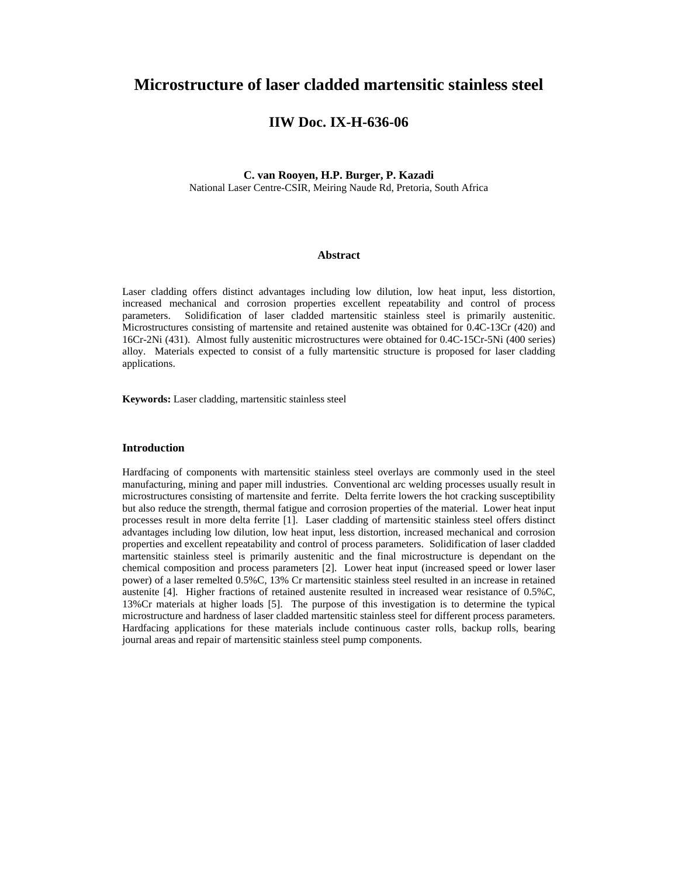# **Microstructure of laser cladded martensitic stainless steel**

## **IIW Doc. IX-H-636-06**

## **C. van Rooyen, H.P. Burger, P. Kazadi**  National Laser Centre-CSIR, Meiring Naude Rd, Pretoria, South Africa

## **Abstract**

Laser cladding offers distinct advantages including low dilution, low heat input, less distortion, increased mechanical and corrosion properties excellent repeatability and control of process parameters. Solidification of laser cladded martensitic stainless steel is primarily austenitic. Microstructures consisting of martensite and retained austenite was obtained for 0.4C-13Cr (420) and 16Cr-2Ni (431). Almost fully austenitic microstructures were obtained for 0.4C-15Cr-5Ni (400 series) alloy. Materials expected to consist of a fully martensitic structure is proposed for laser cladding applications.

**Keywords:** Laser cladding, martensitic stainless steel

## **Introduction**

Hardfacing of components with martensitic stainless steel overlays are commonly used in the steel manufacturing, mining and paper mill industries. Conventional arc welding processes usually result in microstructures consisting of martensite and ferrite. Delta ferrite lowers the hot cracking susceptibility but also reduce the strength, thermal fatigue and corrosion properties of the material. Lower heat input processes result in more delta ferrite [1]. Laser cladding of martensitic stainless steel offers distinct advantages including low dilution, low heat input, less distortion, increased mechanical and corrosion properties and excellent repeatability and control of process parameters. Solidification of laser cladded martensitic stainless steel is primarily austenitic and the final microstructure is dependant on the chemical composition and process parameters [2]. Lower heat input (increased speed or lower laser power) of a laser remelted 0.5%C, 13% Cr martensitic stainless steel resulted in an increase in retained austenite [4]. Higher fractions of retained austenite resulted in increased wear resistance of 0.5%C, 13%Cr materials at higher loads [5]. The purpose of this investigation is to determine the typical microstructure and hardness of laser cladded martensitic stainless steel for different process parameters. Hardfacing applications for these materials include continuous caster rolls, backup rolls, bearing journal areas and repair of martensitic stainless steel pump components.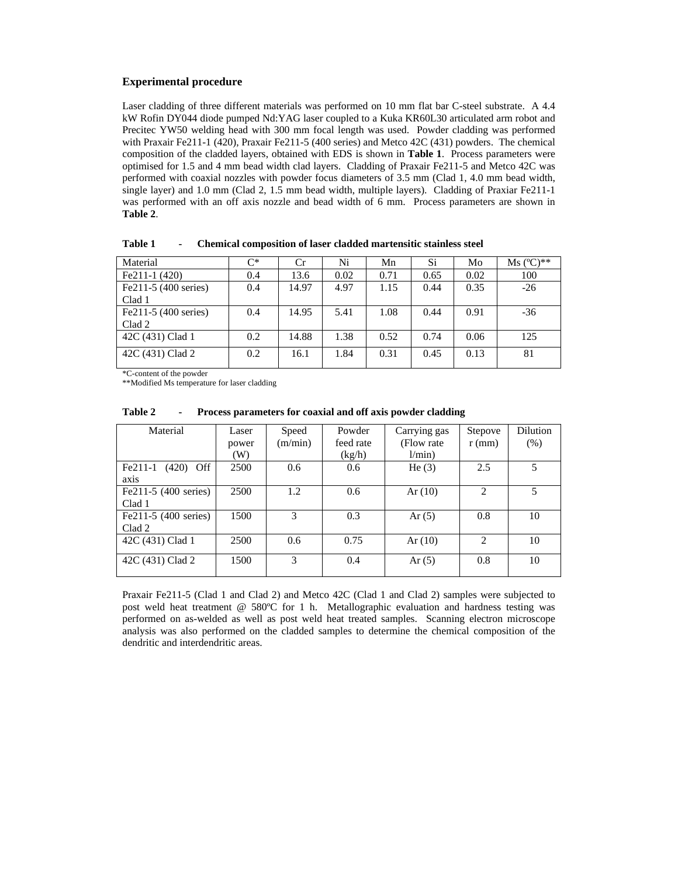#### **Experimental procedure**

Laser cladding of three different materials was performed on 10 mm flat bar C-steel substrate. A 4.4 kW Rofin DY044 diode pumped Nd:YAG laser coupled to a Kuka KR60L30 articulated arm robot and Precitec YW50 welding head with 300 mm focal length was used. Powder cladding was performed with Praxair Fe211-1 (420), Praxair Fe211-5 (400 series) and Metco 42C (431) powders. The chemical composition of the cladded layers, obtained with EDS is shown in **Table 1**. Process parameters were optimised for 1.5 and 4 mm bead width clad layers. Cladding of Praxair Fe211-5 and Metco 42C was performed with coaxial nozzles with powder focus diameters of 3.5 mm (Clad 1, 4.0 mm bead width, single layer) and 1.0 mm (Clad 2, 1.5 mm bead width, multiple layers). Cladding of Praxiar Fe211-1 was performed with an off axis nozzle and bead width of 6 mm. Process parameters are shown in **Table 2**.

| Material              | $C^*$ | Cr    | Ni   | Mn   | Si.  | Mo   | $Ms (°C)**$ |
|-----------------------|-------|-------|------|------|------|------|-------------|
| $Fe211-1(420)$        | 0.4   | 13.6  | 0.02 | 0.71 | 0.65 | 0.02 | 100         |
| Fe211-5 (400 series)  | 0.4   | 14.97 | 4.97 | 1.15 | 0.44 | 0.35 | $-26$       |
| Clad 1                |       |       |      |      |      |      |             |
| $Fe211-5(400 series)$ | 0.4   | 14.95 | 5.41 | 1.08 | 0.44 | 0.91 | $-36$       |
| Clad 2                |       |       |      |      |      |      |             |
| 42C (431) Clad 1      | 0.2   | 14.88 | 1.38 | 0.52 | 0.74 | 0.06 | 125         |
| 42C (431) Clad 2      | 0.2   | 16.1  | 1.84 | 0.31 | 0.45 | 0.13 | 81          |

**Table 1 - Chemical composition of laser cladded martensitic stainless steel** 

\*C-content of the powder

\*\*Modified Ms temperature for laser cladding

| Material                 | Laser | Speed         | Powder    | Carrying gas | Stepove  | Dilution |
|--------------------------|-------|---------------|-----------|--------------|----------|----------|
|                          | power | (m/min)       | feed rate | (Flow rate)  | $r$ (mm) | (% )     |
|                          | (W)   |               | (kg/h)    | l/min)       |          |          |
| $Fe211-1$<br>$(420)$ Off | 2500  | 0.6           | 0.6       | He $(3)$     | 2.5      | 5        |
| axis                     |       |               |           |              |          |          |
| Fe211-5 (400 series)     | 2500  | 1.2           | 0.6       | Ar(10)       | 2        | 5        |
| Clad 1                   |       |               |           |              |          |          |
| Fe211-5 (400 series)     | 1500  | 3             | 0.3       | Ar $(5)$     | 0.8      | 10       |
| Clad 2                   |       |               |           |              |          |          |
| 42C (431) Clad 1         | 2500  | 0.6           | 0.75      | Ar(10)       | 2        | 10       |
|                          |       |               |           |              |          |          |
| 42C (431) Clad 2         | 1500  | $\mathcal{F}$ | 0.4       | Ar $(5)$     | 0.8      | 10       |
|                          |       |               |           |              |          |          |

**Table 2 - Process parameters for coaxial and off axis powder cladding** 

Praxair Fe211-5 (Clad 1 and Clad 2) and Metco 42C (Clad 1 and Clad 2) samples were subjected to post weld heat treatment @ 580ºC for 1 h. Metallographic evaluation and hardness testing was performed on as-welded as well as post weld heat treated samples. Scanning electron microscope analysis was also performed on the cladded samples to determine the chemical composition of the dendritic and interdendritic areas.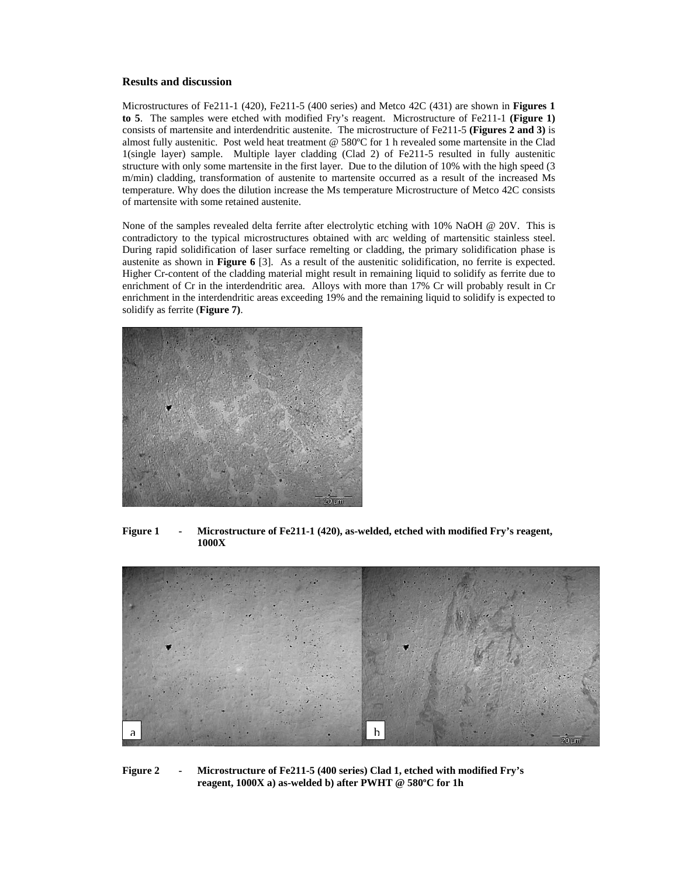#### **Results and discussion**

Microstructures of Fe211-1 (420), Fe211-5 (400 series) and Metco 42C (431) are shown in **Figures 1 to 5**. The samples were etched with modified Fry's reagent. Microstructure of Fe211-1 **(Figure 1)** consists of martensite and interdendritic austenite. The microstructure of Fe211-5 **(Figures 2 and 3)** is almost fully austenitic. Post weld heat treatment @ 580ºC for 1 h revealed some martensite in the Clad 1(single layer) sample. Multiple layer cladding (Clad 2) of Fe211-5 resulted in fully austenitic structure with only some martensite in the first layer. Due to the dilution of 10% with the high speed (3 m/min) cladding, transformation of austenite to martensite occurred as a result of the increased Ms temperature. Why does the dilution increase the Ms temperature Microstructure of Metco 42C consists of martensite with some retained austenite.

None of the samples revealed delta ferrite after electrolytic etching with 10% NaOH @ 20V. This is contradictory to the typical microstructures obtained with arc welding of martensitic stainless steel. During rapid solidification of laser surface remelting or cladding, the primary solidification phase is austenite as shown in **Figure 6** [3]. As a result of the austenitic solidification, no ferrite is expected. Higher Cr-content of the cladding material might result in remaining liquid to solidify as ferrite due to enrichment of Cr in the interdendritic area. Alloys with more than 17% Cr will probably result in Cr enrichment in the interdendritic areas exceeding 19% and the remaining liquid to solidify is expected to solidify as ferrite (**Figure 7)**.



**Figure 1 - Microstructure of Fe211-1 (420), as-welded, etched with modified Fry's reagent, 1000X** 



**Figure 2 - Microstructure of Fe211-5 (400 series) Clad 1, etched with modified Fry's reagent, 1000X a) as-welded b) after PWHT @ 580ºC for 1h**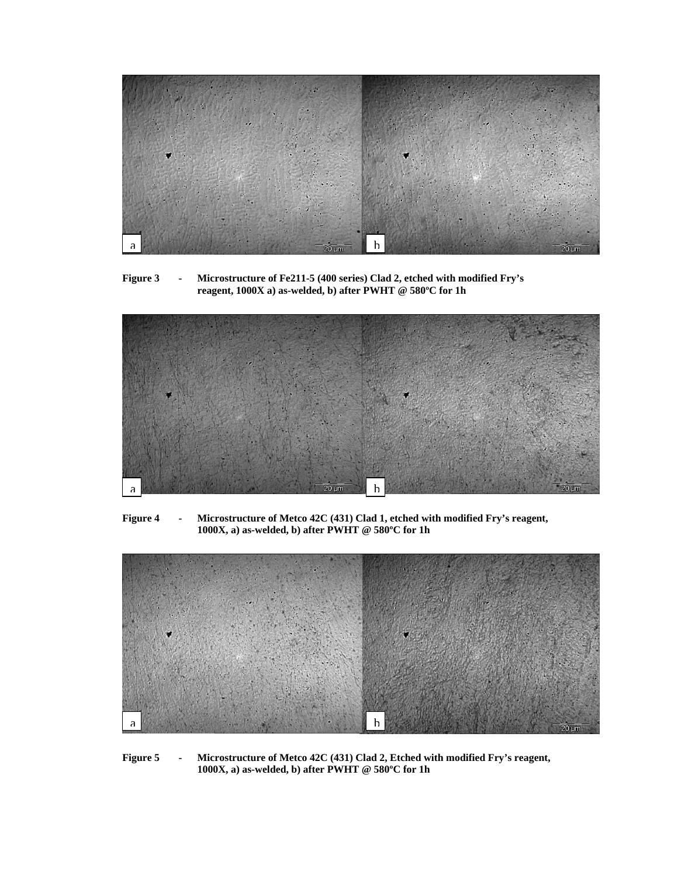

**Figure 3 - Microstructure of Fe211-5 (400 series) Clad 2, etched with modified Fry's reagent, 1000X a) as-welded, b) after PWHT @ 580ºC for 1h** 



**Figure 4 - Microstructure of Metco 42C (431) Clad 1, etched with modified Fry's reagent, 1000X, a) as-welded, b) after PWHT @ 580ºC for 1h** 



**Figure 5 - Microstructure of Metco 42C (431) Clad 2, Etched with modified Fry's reagent, 1000X, a) as-welded, b) after PWHT @ 580ºC for 1h**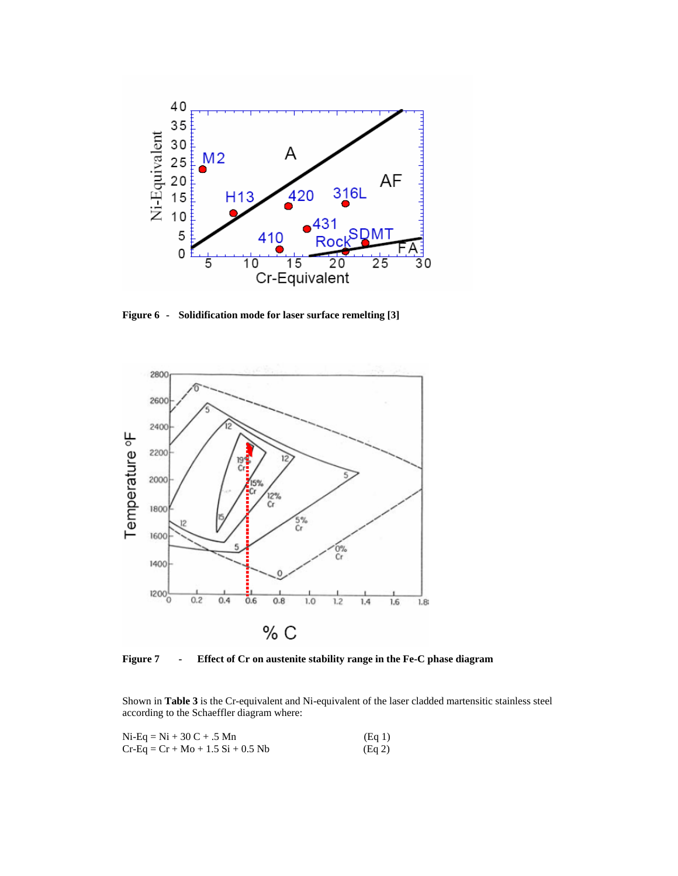

**Figure 6 - Solidification mode for laser surface remelting [3]** 



**Figure 7 - Effect of Cr on austenite stability range in the Fe-C phase diagram** 

Shown in **Table 3** is the Cr-equivalent and Ni-equivalent of the laser cladded martensitic stainless steel according to the Schaeffler diagram where:

| $Ni-Eq = Ni + 30 C + .5 Mn$         | (Eq 1) |
|-------------------------------------|--------|
| $Cr-Eq = Cr + Mo + 1.5 Si + 0.5 Nb$ | (Eq 2) |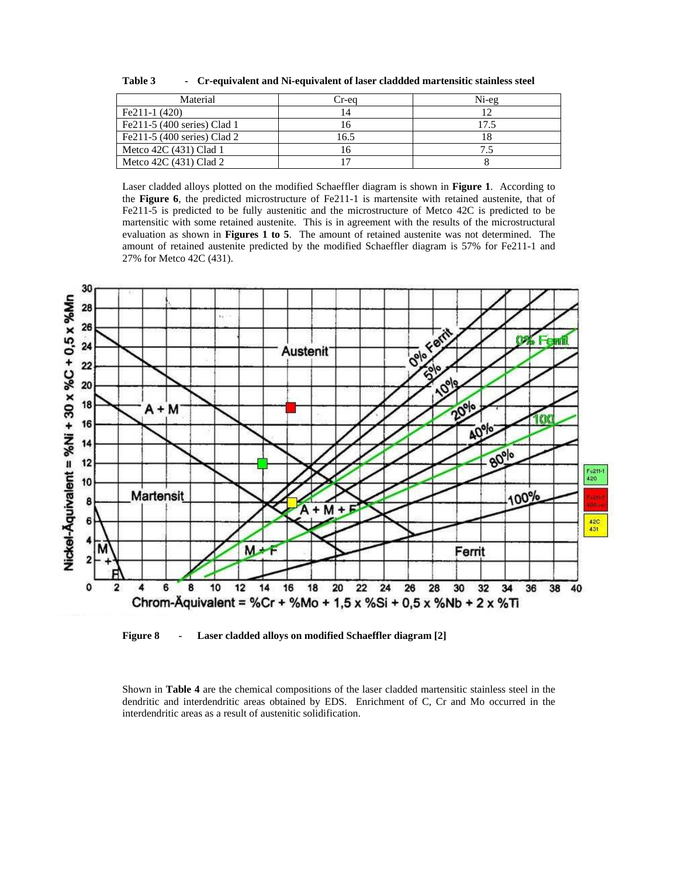| Cr-equivalent and Ni-equivalent of laser claddded martensitic stainless steel | Table 3 |  |  |  |
|-------------------------------------------------------------------------------|---------|--|--|--|
|-------------------------------------------------------------------------------|---------|--|--|--|

| Material                    | Cr-ea | Ni-eg |
|-----------------------------|-------|-------|
| $Fe211-1(420)$              | 14    |       |
| Fe211-5 (400 series) Clad 1 |       | 17.5  |
| Fe211-5 (400 series) Clad 2 | 16.5  |       |
| Metco 42C (431) Clad 1      |       |       |
| Metco $42C(431)$ Clad 2     |       |       |

Laser cladded alloys plotted on the modified Schaeffler diagram is shown in **Figure 1**. According to the **Figure 6**, the predicted microstructure of Fe211-1 is martensite with retained austenite, that of Fe211-5 is predicted to be fully austenitic and the microstructure of Metco 42C is predicted to be martensitic with some retained austenite. This is in agreement with the results of the microstructural evaluation as shown in **Figures 1 to 5**. The amount of retained austenite was not determined. The amount of retained austenite predicted by the modified Schaeffler diagram is 57% for Fe211-1 and 27% for Metco 42C (431).



**Figure 8 - Laser cladded alloys on modified Schaeffler diagram [2]** 

Shown in **Table 4** are the chemical compositions of the laser cladded martensitic stainless steel in the dendritic and interdendritic areas obtained by EDS. Enrichment of C, Cr and Mo occurred in the interdendritic areas as a result of austenitic solidification.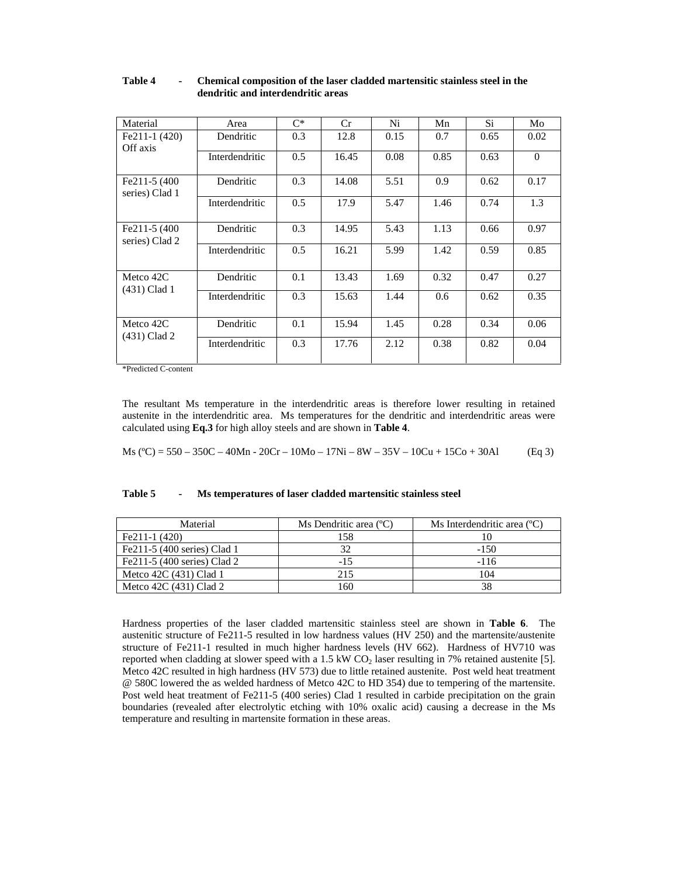| Material                        | Area           | $C^*$ | Cr    | Ni   | Mn   | Si   | Mo       |
|---------------------------------|----------------|-------|-------|------|------|------|----------|
| $Fe211-1(420)$<br>Off axis      | Dendritic      | 0.3   | 12.8  | 0.15 | 0.7  | 0.65 | 0.02     |
|                                 | Interdendritic | 0.5   | 16.45 | 0.08 | 0.85 | 0.63 | $\Omega$ |
| Fe211-5 (400)<br>series) Clad 1 | Dendritic      | 0.3   | 14.08 | 5.51 | 0.9  | 0.62 | 0.17     |
|                                 | Interdendritic | 0.5   | 17.9  | 5.47 | 1.46 | 0.74 | 1.3      |
| Fe211-5 (400)<br>series) Clad 2 | Dendritic      | 0.3   | 14.95 | 5.43 | 1.13 | 0.66 | 0.97     |
|                                 | Interdendritic | 0.5   | 16.21 | 5.99 | 1.42 | 0.59 | 0.85     |
| Metco 42C<br>(431) Clad 1       | Dendritic      | 0.1   | 13.43 | 1.69 | 0.32 | 0.47 | 0.27     |
|                                 | Interdendritic | 0.3   | 15.63 | 1.44 | 0.6  | 0.62 | 0.35     |
| Metco 42C<br>(431) Clad 2       | Dendritic      | 0.1   | 15.94 | 1.45 | 0.28 | 0.34 | 0.06     |
|                                 | Interdendritic | 0.3   | 17.76 | 2.12 | 0.38 | 0.82 | 0.04     |

#### **Table 4 - Chemical composition of the laser cladded martensitic stainless steel in the dendritic and interdendritic areas**

\*Predicted C-content

The resultant Ms temperature in the interdendritic areas is therefore lower resulting in retained austenite in the interdendritic area. Ms temperatures for the dendritic and interdendritic areas were calculated using **Eq.3** for high alloy steels and are shown in **Table 4**.

Ms  $(^{\circ}C)$  = 550 – 350C – 40Mn - 20Cr – 10Mo – 17Ni – 8W – 35V – 10Cu + 15Co + 30Al (Eq 3)

## **Table 5 - Ms temperatures of laser cladded martensitic stainless steel**

| Material                    | Ms Dendritic area $({}^{\circ}C)$ | Ms Interdendritic area $(^{\circ}C)$ |
|-----------------------------|-----------------------------------|--------------------------------------|
| $Fe211-1(420)$              | 158                               |                                      |
| Fe211-5 (400 series) Clad 1 | 32                                | $-150$                               |
| Fe211-5 (400 series) Clad 2 | $-15$                             | $-116$                               |
| Metco 42C (431) Clad 1      | 215                               | 104                                  |
| Metco 42C (431) Clad 2      | 160                               | 38                                   |

Hardness properties of the laser cladded martensitic stainless steel are shown in **Table 6**. The austenitic structure of Fe211-5 resulted in low hardness values (HV 250) and the martensite/austenite structure of Fe211-1 resulted in much higher hardness levels (HV 662). Hardness of HV710 was reported when cladding at slower speed with a 1.5 kW  $CO<sub>2</sub>$  laser resulting in 7% retained austenite [5]. Metco 42C resulted in high hardness (HV 573) due to little retained austenite. Post weld heat treatment @ 580C lowered the as welded hardness of Metco 42C to HD 354) due to tempering of the martensite. Post weld heat treatment of Fe211-5 (400 series) Clad 1 resulted in carbide precipitation on the grain boundaries (revealed after electrolytic etching with 10% oxalic acid) causing a decrease in the Ms temperature and resulting in martensite formation in these areas.